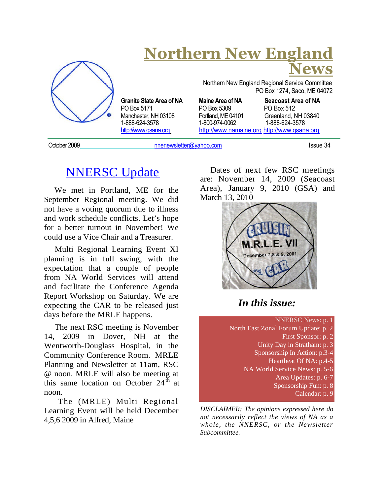

# **Northern New England News**

PO Box 5171 PO Box 5309 PO Box 512 Manchester, NH 03108 Portland, ME 04101<br>1-888-624-3578 1-800-974-0062 http://www.gsana.org http://www.namaine.org http://www.gsana.org

Northern New England Regional Service Committee PO Box 1274, Saco, ME 04072

**Granite State Area of NA Maine Area of NA Seacoast Area of NA** 1-888-624-3578 1-800-974-0062 1-888-624-3578

October 2009 **Details and Contract Contract Contract Contract Contract Contract Contract Contract Contract Contract Contract Contract Contract Contract Contract Contract Contract Contract Contract Contract Contract Contrac** 

## NNERSC Update

We met in Portland, ME for the September Regional meeting. We did not have a voting quorum due to illness and work schedule conflicts. Let's hope for a better turnout in November! We could use a Vice Chair and a Treasurer.

Multi Regional Learning Event XI planning is in full swing, with the expectation that a couple of people from NA World Services will attend and facilitate the Conference Agenda Report Workshop on Saturday. We are expecting the CAR to be released just days before the MRLE happens.

The next RSC meeting is November 14, 2009 in Dover, NH at the Wentworth-Douglass Hospital, in the Community Conference Room. MRLE Planning and Newsletter at 11am, RSC @ noon. MRLE will also be meeting at this same location on October  $24<sup>th</sup>$  at noon.

The (MRLE) Multi Regional Learning Event will be held December 4,5,6 2009 in Alfred, Maine

Dates of next few RSC meetings are: November 14, 2009 (Seacoast Area), January 9, 2010 (GSA) and March 13, 2010



## *In this issue:*

NNERSC News: p. 1 North East Zonal Forum Update: p. 2 First Sponsor: p. 2 Unity Day in Stratham: p. 3 Sponsorship In Action: p.3-4 Heartbeat Of NA: p.4-5 NA World Service News: p. 5-6 Area Updates: p. 6-7 Sponsorship Fun: p. 8 Calendar: p. 9

*DISCLAIMER: The opinions expressed here do not necessarily reflect the views of NA as a whole, the NNERSC, or the Newsletter Subcommittee.*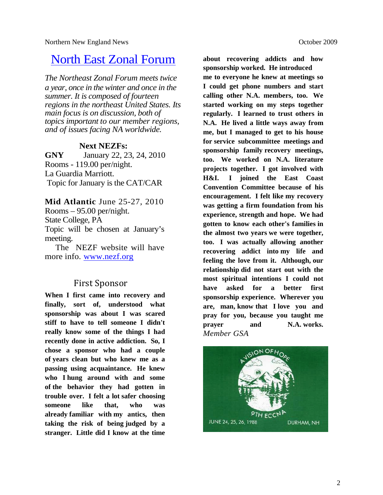## North East Zonal Forum

*The Northeast Zonal Forum meets twice a year, once in the winter and once in the summer. It is composed of fourteen regions in the northeast United States. Its main focus is on discussion, both of topics important to our member regions, and of issues facing NA worldwide.*

#### **Next NEZFs:**

**GNY** January 22, 23, 24, 2010 Rooms - 119.00 per/night. La Guardia Marriott. Topic for January is the CAT/CAR

**Mid Atlantic** June 25-27, 2010 Rooms – 95.00 per/night. State College, PA Topic will be chosen at January's meeting.

The NEZF website will have more info. www.nezf.org

### First Sponsor

**When I first came into recovery and finally, sort of, understood what sponsorship was about I was scared stiff to have to tell someone I didn't really know some of the things I had recently done in active addiction. So, I chose a sponsor who had a couple of years clean but who knew me as a passing using acquaintance. He knew who I hung around with and some of the behavior they had gotten in trouble over. I felt a lot safer choosing someone like that, who was already familiar with my antics, then taking the risk of being judged by a stranger. Little did I know at the time**

**about recovering addicts and how sponsorship worked. He introduced me to everyone he knew at meetings so I could get phone numbers and start calling other N.A. members, too. We started working on my steps together regularly. I learned to trust others in N.A. He lived a little ways away from me, but I managed to get to his house for service subcommittee meetings and sponsorship family recovery meetings, too. We worked on N.A. literature projects together. I got involved with H&I. I joined the East Coast Convention Committee because of his encouragement. I felt like my recovery was getting a firm foundation from his experience, strength and hope. We had gotten to know each other's families in the almost two years we were together, too. I was actually allowing another recovering addict into my life and feeling the love from it. Although, our relationship did not start out with the most spiritual intentions I could not have asked for a better first sponsorship experience. Wherever you are, man, know that I love you and pray for you, because you taught me prayer and N.A. works.** *Member GSA*

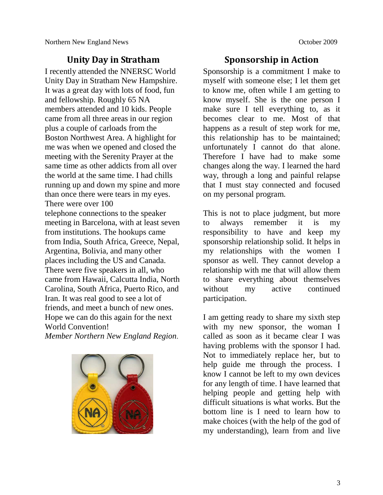### **Unity Day in Stratham**

I recently attended the NNERSC World Unity Day in Stratham New Hampshire. It was a great day with lots of food, fun and fellowship. Roughly 65 NA members attended and 10 kids. People came from all three areas in our region plus a couple of carloads from the Boston Northwest Area. A highlight for me was when we opened and closed the meeting with the Serenity Prayer at the same time as other addicts from all over the world at the same time. I had chills running up and down my spine and more than once there were tears in my eyes. There were over 100 telephone connections to the speaker meeting in Barcelona, with at least seven from institutions. The hookups came from India, South Africa, Greece, Nepal, Argentina, Bolivia, and many other places including the US and Canada. There were five speakers in all, who came from Hawaii, Calcutta India, North Carolina, South Africa, Puerto Rico, and Iran. It was real good to see a lot of friends, and meet a bunch of new ones. Hope we can do this again for the next World Convention!

*Member Northern New England Region*.



### **Sponsorship in Action**

Sponsorship is a commitment I make to myself with someone else; I let them get to know me, often while I am getting to know myself. She is the one person I make sure I tell everything to, as it becomes clear to me. Most of that happens as a result of step work for me. this relationship has to be maintained; unfortunately I cannot do that alone. Therefore I have had to make some changes along the way. I learned the hard way, through a long and painful relapse that I must stay connected and focused on my personal program.

This is not to place judgment, but more to always remember it is my responsibility to have and keep my sponsorship relationship solid. It helps in my relationships with the women I sponsor as well. They cannot develop a relationship with me that will allow them to share everything about themselves without my active continued participation.

I am getting ready to share my sixth step with my new sponsor, the woman I called as soon as it became clear I was having problems with the sponsor I had. Not to immediately replace her, but to help guide me through the process. I know I cannot be left to my own devices for any length of time. I have learned that helping people and getting help with difficult situations is what works. But the bottom line is I need to learn how to make choices (with the help of the god of my understanding), learn from and live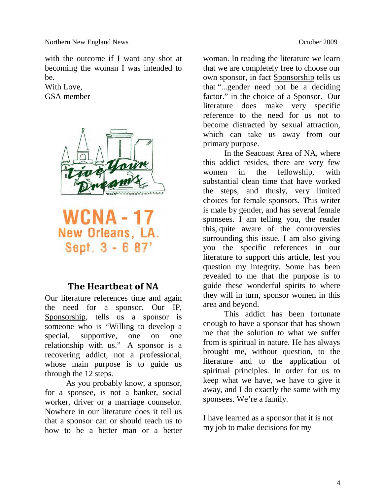with the outcome if I want any shot at becoming the woman I was intended to be.

With Love, GSA member



**WCNA-17** New Orleans, LA. Sept. 3 - 6 87'

#### **The Heartbeat of NA**

Our literature references time and again the need for a sponsor. Our IP, Sponsorship, tells us a sponsor is someone who is "Willing to develop a special, supportive, one on one relationship with us." A sponsor is a recovering addict, not a professional, whose main purpose is to guide us through the 12 steps.

As you probably know, a sponsor, for a sponsee, is not a banker, social worker, driver or a marriage counselor. Nowhere in our literature does it tell us that a sponsor can or should teach us to how to be a better man or a better woman. In reading the literature we learn that we are completely free to choose our own sponsor, in fact Sponsorship tells us that "...gender need not be a deciding factor." in the choice of a Sponsor. Our literature does make very specific reference to the need for us not to become distracted by sexual attraction, which can take us away from our primary purpose.

In the Seacoast Area of NA, where this addict resides, there are very few women in the fellowship, with substantial clean time that have worked the steps, and thusly, very limited choices for female sponsors. This writer is male by gender, and has several female sponsees. I am telling you, the reader this, quite aware of the controversies surrounding this issue. I am also giving you the specific references in our literature to support this article, lest you question my integrity. Some has been revealed to me that the purpose is to guide these wonderful spirits to where they will in turn, sponsor women in this area and beyond.

This addict has been fortunate enough to have a sponsor that has shown me that the solution to what we suffer from is spiritual in nature. He has always brought me, without question, to the literature and to the application of spiritual principles. In order for us to keep what we have, we have to give it away, and I do exactly the same with my sponsees. We're a family.

I have learned as a sponsor that it is not my job to make decisions for my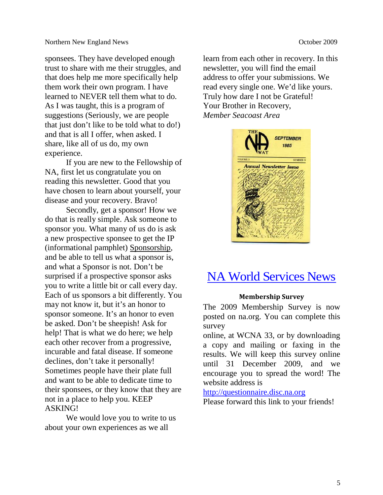sponsees. They have developed enough trust to share with me their struggles, and that does help me more specifically help them work their own program. I have learned to NEVER tell them what to do. As I was taught, this is a program of suggestions (Seriously, we are people that just don't like to be told what to do!) and that is all I offer, when asked. I share, like all of us do, my own experience.

If you are new to the Fellowship of NA, first let us congratulate you on reading this newsletter. Good that you have chosen to learn about yourself, your disease and your recovery. Bravo!

Secondly, get a sponsor! How we do that is really simple. Ask someone to sponsor you. What many of us do is ask a new prospective sponsee to get the IP (informational pamphlet) Sponsorship, and be able to tell us what a sponsor is, and what a Sponsor is not. Don't be surprised if a prospective sponsor asks you to write a little bit or call every day. Each of us sponsors a bit differently. You may not know it, but it's an honor to sponsor someone. It's an honor to even be asked. Don't be sheepish! Ask for help! That is what we do here; we help each other recover from a progressive, incurable and fatal disease. If someone declines, don't take it personally! Sometimes people have their plate full and want to be able to dedicate time to their sponsees, or they know that they are not in a place to help you. KEEP ASKING!

We would love you to write to us about your own experiences as we all

learn from each other in recovery. In this newsletter, you will find the email address to offer your submissions. We read every single one. We'd like yours. Truly how dare I not be Grateful! Your Brother in Recovery, *Member Seacoast Area*



## NA World Services News

#### **Membership Survey**

The 2009 Membership Survey is now posted on na.org. You can complete this survey

online, at WCNA 33, or by downloading a copy and mailing or faxing in the results. We will keep this survey online until 31 December 2009, and we encourage you to spread the word! The website address is

http://questionnaire.disc.na.org

Please forward this link to your friends!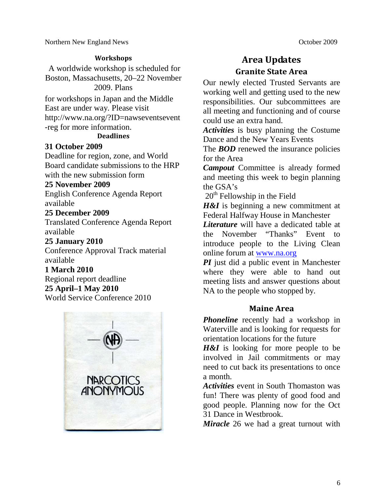Northern New England News **October 2009** 

#### **Workshops**

A worldwide workshop is scheduled for Boston, Massachusetts, 20–22 November 2009. Plans

for workshops in Japan and the Middle East are under way. Please visit http://www.na.org/?ID=nawseventsevent -reg for more information.

#### **Deadlines**

#### **31 October 2009**

Deadline for region, zone, and World Board candidate submissions to the HRP with the new submission form

#### **25 November 2009**

English Conference Agenda Report available

#### **25 December 2009**

Translated Conference Agenda Report available

#### **25 January 2010**

Conference Approval Track material available

#### **1 March 2010**

Regional report deadline **25 April–1 May 2010** World Service Conference 2010



## **Area Updates Granite State Area**

Our newly elected Trusted Servants are working well and getting used to the new responsibilities. Our subcommittees are all meeting and functioning and of course could use an extra hand.

*Activities* is busy planning the Costume Dance and the New Years Events

The **BOD** renewed the insurance policies for the Area

*Campout* Committee is already formed and meeting this week to begin planning the GSA's

 $20<sup>th</sup>$  Fellowship in the Field

*H&I* is beginning a new commitment at Federal Halfway House in Manchester

*Literature* will have a dedicated table at the November "Thanks" Event to introduce people to the Living Clean online forum at www.na.org

*PI* just did a public event in Manchester where they were able to hand out meeting lists and answer questions about NA to the people who stopped by.

#### **Maine Area**

*Phoneline* recently had a workshop in Waterville and is looking for requests for orientation locations for the future

*H&I* is looking for more people to be involved in Jail commitments or may need to cut back its presentations to once a month.

*Activities* event in South Thomaston was fun! There was plenty of good food and good people. Planning now for the Oct 31 Dance in Westbrook.

*Miracle* 26 we had a great turnout with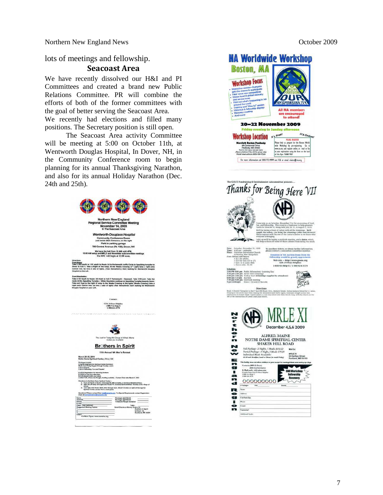Northern New England News **October 2009** 

lots of meetings and fellowship.

#### **Seacoast Area**

We have recently dissolved our H&I and PI Committees and created a brand new Public Relations Committee. PR will combine the efforts of both of the former committees with the goal of better serving the Seacoast Area.

We recently had elections and filled many positions. The Secretary position is still open.

The Seacoast Area activity Committee will be meeting at 5:00 on October 11th, at Wentworth Douglas Hospital, In Dover, NH, in the Community Conference room to begin planning for its annual Thanksgiving Narathon, and also for its annual Holiday Narathon (Dec. 24th and 25th).



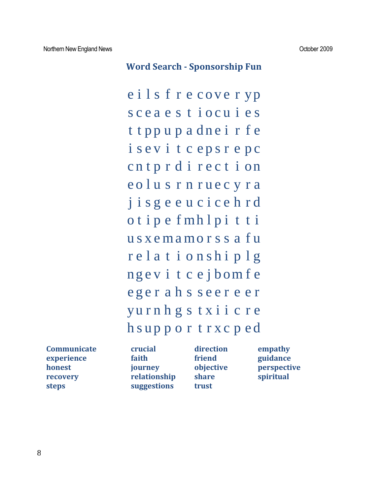#### **Word Search - Sponsorship Fun**

e i l s f r e cover yp s c e a e s t i o c u i e s t t pp u p a dne i r f e i s e v i t c e p s r e p c cntprdirection e o l u s r n r u e c y r a j i s g e e u c i c e h r d o t i p e f mh l p i t t i u s x e ma mo r s s a f u r e l a t i o n s h i p l g ng e v i t c e j b om f e e g e r a h s s e e r e e r yu r n h g s t x i i c r e h s up p o r t r x c p e d

| <b>Communicate</b> |
|--------------------|
| experience         |
| honest             |
| recovery           |
| <b>steps</b>       |

**faith experient friend guidance hourney holective perspective relationship** share spiritual **steps suggestions trust**

**Communical direction empathy**